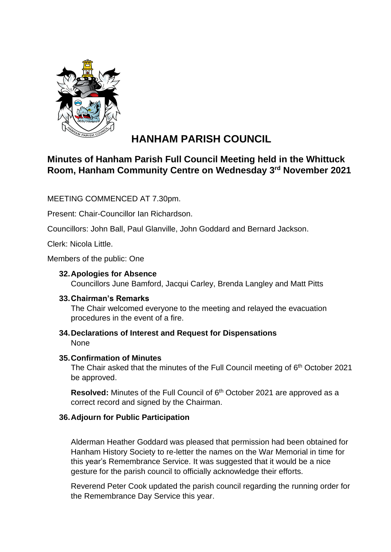

# **HANHAM PARISH COUNCIL**

# **Minutes of Hanham Parish Full Council Meeting held in the Whittuck Room, Hanham Community Centre on Wednesday 3rd November 2021**

MEETING COMMENCED AT 7.30pm.

Present: Chair-Councillor Ian Richardson.

Councillors: John Ball, Paul Glanville, John Goddard and Bernard Jackson.

Clerk: Nicola Little.

Members of the public: One

# **32.Apologies for Absence**

Councillors June Bamford, Jacqui Carley, Brenda Langley and Matt Pitts

# **33.Chairman's Remarks**

The Chair welcomed everyone to the meeting and relayed the evacuation procedures in the event of a fire.

**34.Declarations of Interest and Request for Dispensations** None

# **35.Confirmation of Minutes**

The Chair asked that the minutes of the Full Council meeting of 6<sup>th</sup> October 2021 be approved.

Resolved: Minutes of the Full Council of 6<sup>th</sup> October 2021 are approved as a correct record and signed by the Chairman.

# **36.Adjourn for Public Participation**

Alderman Heather Goddard was pleased that permission had been obtained for Hanham History Society to re-letter the names on the War Memorial in time for this year's Remembrance Service. It was suggested that it would be a nice gesture for the parish council to officially acknowledge their efforts.

Reverend Peter Cook updated the parish council regarding the running order for the Remembrance Day Service this year.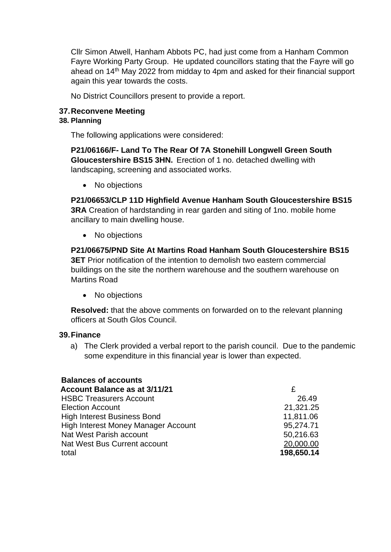Cllr Simon Atwell, Hanham Abbots PC, had just come from a Hanham Common Fayre Working Party Group. He updated councillors stating that the Fayre will go ahead on 14th May 2022 from midday to 4pm and asked for their financial support again this year towards the costs.

No District Councillors present to provide a report.

# **37.Reconvene Meeting**

# **38. Planning**

The following applications were considered:

**P21/06166/F- Land To The Rear Of 7A Stonehill Longwell Green South Gloucestershire BS15 3HN.** Erection of 1 no. detached dwelling with landscaping, screening and associated works.

• No objections

**P21/06653/CLP 11D Highfield Avenue Hanham South Gloucestershire BS15 3RA** Creation of hardstanding in rear garden and siting of 1no. mobile home ancillary to main dwelling house.

• No objections

**P21/06675/PND Site At Martins Road Hanham South Gloucestershire BS15 3ET** Prior notification of the intention to demolish two eastern commercial buildings on the site the northern warehouse and the southern warehouse on Martins Road

• No objections

**Resolved:** that the above comments on forwarded on to the relevant planning officers at South Glos Council.

# **39.Finance**

a) The Clerk provided a verbal report to the parish council. Due to the pandemic some expenditure in this financial year is lower than expected.

| <b>Balances of accounts</b>                |            |
|--------------------------------------------|------------|
| <b>Account Balance as at 3/11/21</b>       | £          |
| <b>HSBC Treasurers Account</b>             | 26.49      |
| <b>Election Account</b>                    | 21,321.25  |
| <b>High Interest Business Bond</b>         | 11,811.06  |
| <b>High Interest Money Manager Account</b> | 95,274.71  |
| Nat West Parish account                    | 50,216.63  |
| Nat West Bus Current account               | 20,000.00  |
| total                                      | 198,650.14 |